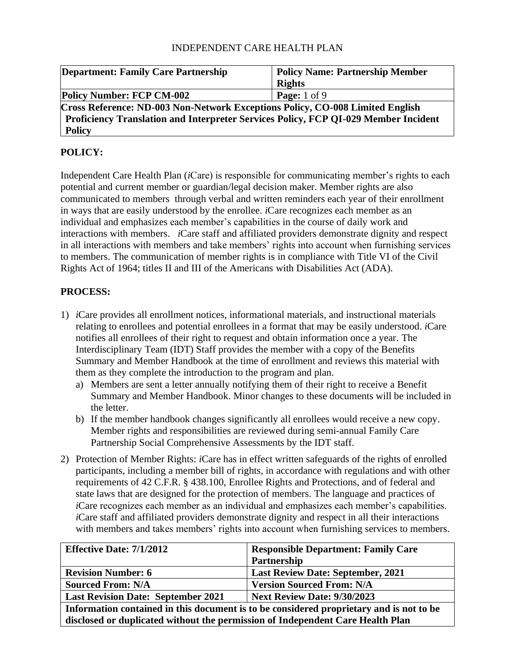| <b>Department: Family Care Partnership</b>                                          | <b>Policy Name: Partnership Member</b> |  |
|-------------------------------------------------------------------------------------|----------------------------------------|--|
|                                                                                     | <b>Rights</b>                          |  |
| <b>Policy Number: FCP CM-002</b>                                                    | <b>Page:</b> $1$ of $9$                |  |
| Cross Reference: ND-003 Non-Network Exceptions Policy, CO-008 Limited English       |                                        |  |
| Proficiency Translation and Interpreter Services Policy, FCP QI-029 Member Incident |                                        |  |
| <b>Policy</b>                                                                       |                                        |  |

# **POLICY:**

Independent Care Health Plan (*i*Care) is responsible for communicating member's rights to each potential and current member or guardian/legal decision maker. Member rights are also communicated to members through verbal and written reminders each year of their enrollment in ways that are easily understood by the enrollee. *i*Care recognizes each member as an individual and emphasizes each member's capabilities in the course of daily work and interactions with members. *i*Care staff and affiliated providers demonstrate dignity and respect in all interactions with members and take members' rights into account when furnishing services to members. The communication of member rights is in compliance with Title VI of the Civil Rights Act of 1964; titles II and III of the Americans with Disabilities Act (ADA).

## **PROCESS:**

- 1) *i*Care provides all enrollment notices, informational materials, and instructional materials relating to enrollees and potential enrollees in a format that may be easily understood. *i*Care notifies all enrollees of their right to request and obtain information once a year. The Interdisciplinary Team (IDT) Staff provides the member with a copy of the Benefits Summary and Member Handbook at the time of enrollment and reviews this material with them as they complete the introduction to the program and plan.
	- a) Members are sent a letter annually notifying them of their right to receive a Benefit Summary and Member Handbook. Minor changes to these documents will be included in the letter.
	- b) If the member handbook changes significantly all enrollees would receive a new copy. Member rights and responsibilities are reviewed during semi-annual Family Care Partnership Social Comprehensive Assessments by the IDT staff.
- 2) Protection of Member Rights: *i*Care has in effect written safeguards of the rights of enrolled participants, including a member bill of rights, in accordance with regulations and with other requirements of 42 C.F.R. § 438.100, Enrollee Rights and Protections, and of federal and state laws that are designed for the protection of members. The language and practices of *i*Care recognizes each member as an individual and emphasizes each member's capabilities. *i*Care staff and affiliated providers demonstrate dignity and respect in all their interactions with members and takes members' rights into account when furnishing services to members.

| <b>Effective Date: 7/1/2012</b>                                                         | <b>Responsible Department: Family Care</b> |
|-----------------------------------------------------------------------------------------|--------------------------------------------|
|                                                                                         | Partnership                                |
| <b>Revision Number: 6</b>                                                               | <b>Last Review Date: September, 2021</b>   |
| <b>Sourced From: N/A</b>                                                                | <b>Version Sourced From: N/A</b>           |
| <b>Last Revision Date: September 2021</b>                                               | <b>Next Review Date: 9/30/2023</b>         |
| Information contained in this document is to be considered proprietary and is not to be |                                            |
| disclosed or duplicated without the permission of Independent Care Health Plan          |                                            |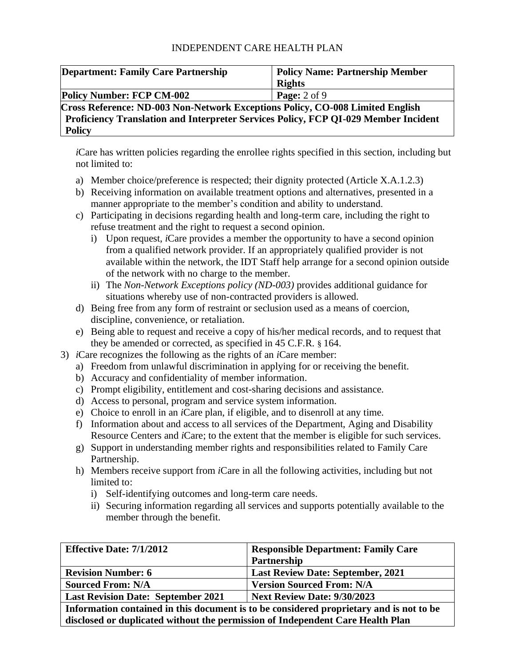| <b>Department: Family Care Partnership</b>                                          | <b>Policy Name: Partnership Member</b> |  |
|-------------------------------------------------------------------------------------|----------------------------------------|--|
|                                                                                     | <b>Rights</b>                          |  |
| <b>Policy Number: FCP CM-002</b>                                                    | Page: $2$ of $9$                       |  |
| Cross Reference: ND-003 Non-Network Exceptions Policy, CO-008 Limited English       |                                        |  |
| Proficiency Translation and Interpreter Services Policy, FCP QI-029 Member Incident |                                        |  |
| <b>Policy</b>                                                                       |                                        |  |

*i*Care has written policies regarding the enrollee rights specified in this section, including but not limited to:

- a) Member choice/preference is respected; their dignity protected (Article X.A.1.2.3)
- b) Receiving information on available treatment options and alternatives, presented in a manner appropriate to the member's condition and ability to understand.
- c) Participating in decisions regarding health and long-term care, including the right to refuse treatment and the right to request a second opinion.
	- i) Upon request, *i*Care provides a member the opportunity to have a second opinion from a qualified network provider. If an appropriately qualified provider is not available within the network, the IDT Staff help arrange for a second opinion outside of the network with no charge to the member.
	- ii) The *Non-Network Exceptions policy (ND-003)* provides additional guidance for situations whereby use of non-contracted providers is allowed.
- d) Being free from any form of restraint or seclusion used as a means of coercion, discipline, convenience, or retaliation.
- e) Being able to request and receive a copy of his/her medical records, and to request that they be amended or corrected, as specified in 45 C.F.R. § 164.
- 3) *i*Care recognizes the following as the rights of an *i*Care member:
	- a) Freedom from unlawful discrimination in applying for or receiving the benefit.
	- b) Accuracy and confidentiality of member information.
	- c) Prompt eligibility, entitlement and cost-sharing decisions and assistance.
	- d) Access to personal, program and service system information.
	- e) Choice to enroll in an *i*Care plan, if eligible, and to disenroll at any time.
	- f) Information about and access to all services of the Department, Aging and Disability Resource Centers and *i*Care; to the extent that the member is eligible for such services.
	- g) Support in understanding member rights and responsibilities related to Family Care Partnership.
	- h) Members receive support from *i*Care in all the following activities, including but not limited to:
		- i) Self-identifying outcomes and long-term care needs.
		- ii) Securing information regarding all services and supports potentially available to the member through the benefit.

| <b>Effective Date: 7/1/2012</b>                                                         | <b>Responsible Department: Family Care</b> |
|-----------------------------------------------------------------------------------------|--------------------------------------------|
|                                                                                         | Partnership                                |
| <b>Revision Number: 6</b>                                                               | <b>Last Review Date: September, 2021</b>   |
| <b>Sourced From: N/A</b>                                                                | <b>Version Sourced From: N/A</b>           |
| <b>Last Revision Date: September 2021</b><br><b>Next Review Date: 9/30/2023</b>         |                                            |
| Information contained in this document is to be considered proprietary and is not to be |                                            |
| disclosed or duplicated without the permission of Independent Care Health Plan          |                                            |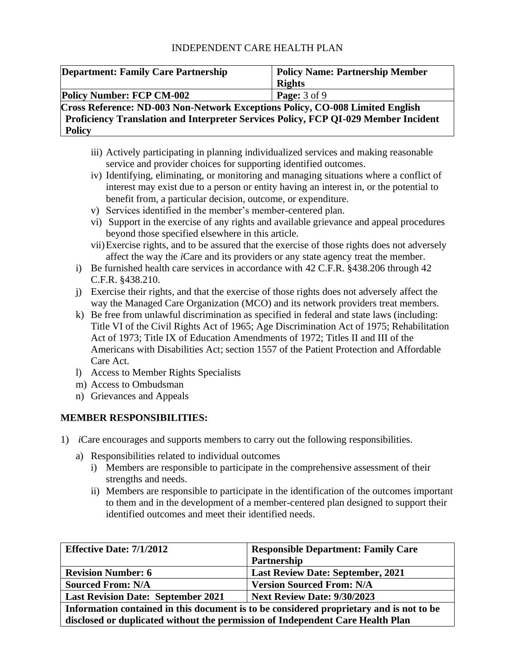| <b>Department: Family Care Partnership</b>                                          | <b>Policy Name: Partnership Member</b> |  |
|-------------------------------------------------------------------------------------|----------------------------------------|--|
|                                                                                     | <b>Rights</b>                          |  |
| <b>Policy Number: FCP CM-002</b>                                                    | <b>Page:</b> 3 of 9                    |  |
| Cross Reference: ND-003 Non-Network Exceptions Policy, CO-008 Limited English       |                                        |  |
| Proficiency Translation and Interpreter Services Policy, FCP QI-029 Member Incident |                                        |  |
| <b>Policy</b>                                                                       |                                        |  |

- iii) Actively participating in planning individualized services and making reasonable service and provider choices for supporting identified outcomes.
- iv) Identifying, eliminating, or monitoring and managing situations where a conflict of interest may exist due to a person or entity having an interest in, or the potential to benefit from, a particular decision, outcome, or expenditure.
- v) Services identified in the member's member-centered plan.
- vi) Support in the exercise of any rights and available grievance and appeal procedures beyond those specified elsewhere in this article.
- vii)Exercise rights, and to be assured that the exercise of those rights does not adversely affect the way the *i*Care and its providers or any state agency treat the member.
- i) Be furnished health care services in accordance with 42 C.F.R. §438.206 through 42 C.F.R. §438.210.
- j) Exercise their rights, and that the exercise of those rights does not adversely affect the way the Managed Care Organization (MCO) and its network providers treat members.
- k) Be free from unlawful discrimination as specified in federal and state laws (including: Title VI of the Civil Rights Act of 1965; Age Discrimination Act of 1975; Rehabilitation Act of 1973; Title IX of Education Amendments of 1972; Titles II and III of the Americans with Disabilities Act; section 1557 of the Patient Protection and Affordable Care Act.
- l) Access to Member Rights Specialists
- m) Access to Ombudsman
- n) Grievances and Appeals

#### **MEMBER RESPONSIBILITIES:**

- 1) *i*Care encourages and supports members to carry out the following responsibilities.
	- a) Responsibilities related to individual outcomes
		- i) Members are responsible to participate in the comprehensive assessment of their strengths and needs.
		- ii) Members are responsible to participate in the identification of the outcomes important to them and in the development of a member-centered plan designed to support their identified outcomes and meet their identified needs.

| <b>Effective Date: 7/1/2012</b>                                                         | <b>Responsible Department: Family Care</b> |
|-----------------------------------------------------------------------------------------|--------------------------------------------|
|                                                                                         | Partnership                                |
| <b>Revision Number: 6</b>                                                               | <b>Last Review Date: September, 2021</b>   |
| <b>Sourced From: N/A</b>                                                                | <b>Version Sourced From: N/A</b>           |
| <b>Last Revision Date: September 2021</b><br><b>Next Review Date: 9/30/2023</b>         |                                            |
| Information contained in this document is to be considered proprietary and is not to be |                                            |
| disclosed or duplicated without the permission of Independent Care Health Plan          |                                            |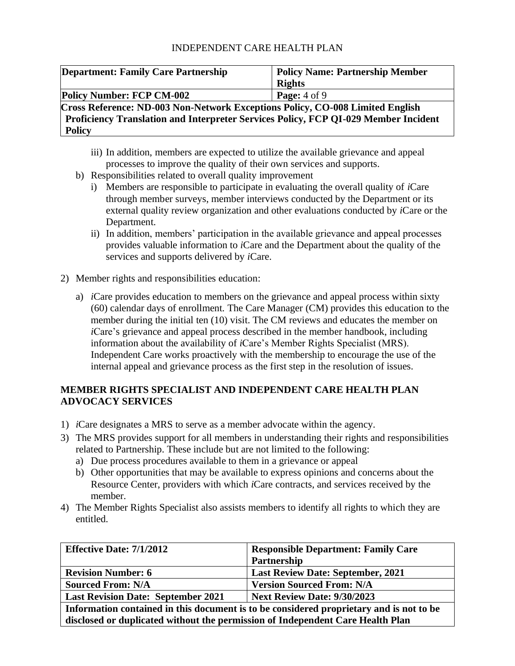| <b>Department: Family Care Partnership</b>                                          | <b>Policy Name: Partnership Member</b> |  |
|-------------------------------------------------------------------------------------|----------------------------------------|--|
|                                                                                     | <b>Rights</b>                          |  |
| <b>Policy Number: FCP CM-002</b>                                                    | Page: $4$ of $9$                       |  |
| Cross Reference: ND-003 Non-Network Exceptions Policy, CO-008 Limited English       |                                        |  |
| Proficiency Translation and Interpreter Services Policy, FCP QI-029 Member Incident |                                        |  |
| <b>Policy</b>                                                                       |                                        |  |

- iii) In addition, members are expected to utilize the available grievance and appeal processes to improve the quality of their own services and supports.
- b) Responsibilities related to overall quality improvement
	- i) Members are responsible to participate in evaluating the overall quality of *i*Care through member surveys, member interviews conducted by the Department or its external quality review organization and other evaluations conducted by *i*Care or the Department.
	- ii) In addition, members' participation in the available grievance and appeal processes provides valuable information to *i*Care and the Department about the quality of the services and supports delivered by *i*Care.
- 2) Member rights and responsibilities education:
	- a) *i*Care provides education to members on the grievance and appeal process within sixty (60) calendar days of enrollment. The Care Manager (CM) provides this education to the member during the initial ten (10) visit. The CM reviews and educates the member on *i*Care's grievance and appeal process described in the member handbook, including information about the availability of *i*Care's Member Rights Specialist (MRS). Independent Care works proactively with the membership to encourage the use of the internal appeal and grievance process as the first step in the resolution of issues.

## **MEMBER RIGHTS SPECIALIST AND INDEPENDENT CARE HEALTH PLAN ADVOCACY SERVICES**

- 1) *i*Care designates a MRS to serve as a member advocate within the agency.
- 3) The MRS provides support for all members in understanding their rights and responsibilities related to Partnership. These include but are not limited to the following:
	- a) Due process procedures available to them in a grievance or appeal
	- b) Other opportunities that may be available to express opinions and concerns about the Resource Center, providers with which *i*Care contracts, and services received by the member.
- 4) The Member Rights Specialist also assists members to identify all rights to which they are entitled.

| <b>Effective Date: 7/1/2012</b>                                                         | <b>Responsible Department: Family Care</b> |
|-----------------------------------------------------------------------------------------|--------------------------------------------|
|                                                                                         | Partnership                                |
| <b>Revision Number: 6</b>                                                               | <b>Last Review Date: September, 2021</b>   |
| <b>Sourced From: N/A</b>                                                                | <b>Version Sourced From: N/A</b>           |
| <b>Last Revision Date: September 2021</b><br><b>Next Review Date: 9/30/2023</b>         |                                            |
| Information contained in this document is to be considered proprietary and is not to be |                                            |
| disclosed or duplicated without the permission of Independent Care Health Plan          |                                            |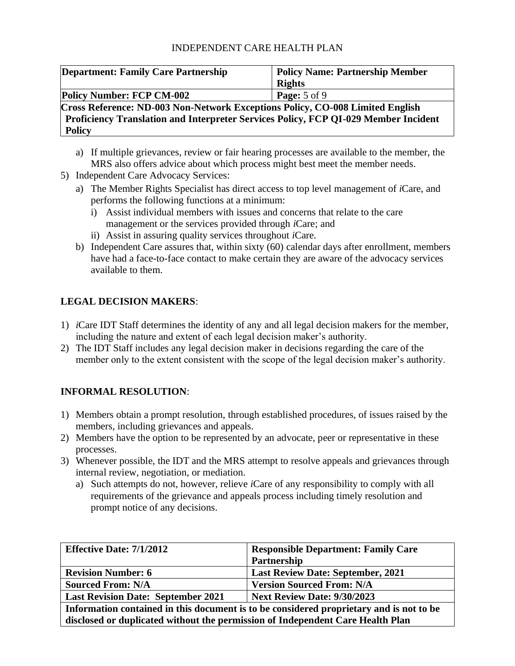| <b>Department: Family Care Partnership</b>                                          | <b>Policy Name: Partnership Member</b> |  |
|-------------------------------------------------------------------------------------|----------------------------------------|--|
|                                                                                     | <b>Rights</b>                          |  |
| <b>Policy Number: FCP CM-002</b>                                                    | <b>Page:</b> 5 of 9                    |  |
| Cross Reference: ND-003 Non-Network Exceptions Policy, CO-008 Limited English       |                                        |  |
| Proficiency Translation and Interpreter Services Policy, FCP QI-029 Member Incident |                                        |  |
| <b>Policy</b>                                                                       |                                        |  |

- a) If multiple grievances, review or fair hearing processes are available to the member, the MRS also offers advice about which process might best meet the member needs.
- 5) Independent Care Advocacy Services:
	- a) The Member Rights Specialist has direct access to top level management of *i*Care, and performs the following functions at a minimum:
		- i) Assist individual members with issues and concerns that relate to the care management or the services provided through *i*Care; and
		- ii) Assist in assuring quality services throughout *i*Care.
	- b) Independent Care assures that, within sixty (60) calendar days after enrollment, members have had a face-to-face contact to make certain they are aware of the advocacy services available to them.

## **LEGAL DECISION MAKERS**:

- 1) *i*Care IDT Staff determines the identity of any and all legal decision makers for the member, including the nature and extent of each legal decision maker's authority.
- 2) The IDT Staff includes any legal decision maker in decisions regarding the care of the member only to the extent consistent with the scope of the legal decision maker's authority.

# **INFORMAL RESOLUTION**:

- 1) Members obtain a prompt resolution, through established procedures, of issues raised by the members, including grievances and appeals.
- 2) Members have the option to be represented by an advocate, peer or representative in these processes.
- 3) Whenever possible, the IDT and the MRS attempt to resolve appeals and grievances through internal review, negotiation, or mediation.
	- a) Such attempts do not, however, relieve *i*Care of any responsibility to comply with all requirements of the grievance and appeals process including timely resolution and prompt notice of any decisions.

| <b>Effective Date: 7/1/2012</b>                                                         | <b>Responsible Department: Family Care</b> |
|-----------------------------------------------------------------------------------------|--------------------------------------------|
|                                                                                         | Partnership                                |
| <b>Revision Number: 6</b>                                                               | <b>Last Review Date: September, 2021</b>   |
| <b>Sourced From: N/A</b>                                                                | <b>Version Sourced From: N/A</b>           |
| <b>Last Revision Date: September 2021</b><br><b>Next Review Date: 9/30/2023</b>         |                                            |
| Information contained in this document is to be considered proprietary and is not to be |                                            |
| disclosed or duplicated without the permission of Independent Care Health Plan          |                                            |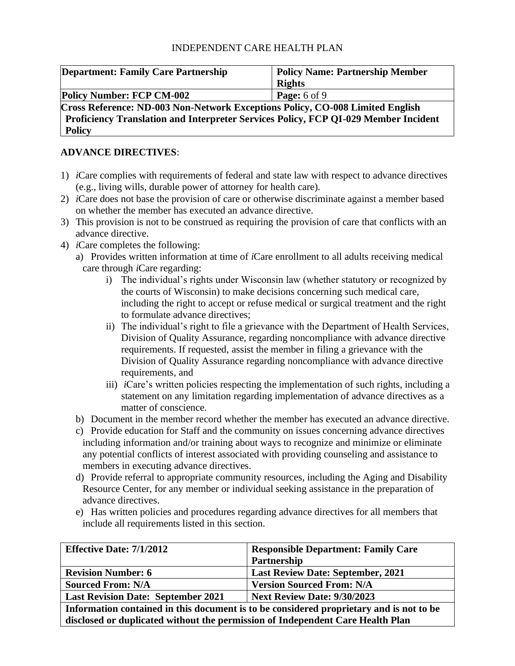| <b>Department: Family Care Partnership</b>                                          | <b>Policy Name: Partnership Member</b> |  |
|-------------------------------------------------------------------------------------|----------------------------------------|--|
|                                                                                     | <b>Rights</b>                          |  |
| <b>Policy Number: FCP CM-002</b>                                                    | <b>Page:</b> 6 of 9                    |  |
| Cross Reference: ND-003 Non-Network Exceptions Policy, CO-008 Limited English       |                                        |  |
| Proficiency Translation and Interpreter Services Policy, FCP QI-029 Member Incident |                                        |  |
| <b>Policy</b>                                                                       |                                        |  |

## **ADVANCE DIRECTIVES**:

- 1) *i*Care complies with requirements of federal and state law with respect to advance directives (e.g., living wills, durable power of attorney for health care).
- 2) *i*Care does not base the provision of care or otherwise discriminate against a member based on whether the member has executed an advance directive.
- 3) This provision is not to be construed as requiring the provision of care that conflicts with an advance directive.
- 4) *i*Care completes the following:
	- a) Provides written information at time of *i*Care enrollment to all adults receiving medical care through *i*Care regarding:
		- i) The individual's rights under Wisconsin law (whether statutory or recognized by the courts of Wisconsin) to make decisions concerning such medical care, including the right to accept or refuse medical or surgical treatment and the right to formulate advance directives;
		- ii) The individual's right to file a grievance with the Department of Health Services, Division of Quality Assurance, regarding noncompliance with advance directive requirements. If requested, assist the member in filing a grievance with the Division of Quality Assurance regarding noncompliance with advance directive requirements, and
		- iii) *i*Care's written policies respecting the implementation of such rights, including a statement on any limitation regarding implementation of advance directives as a matter of conscience.
	- b) Document in the member record whether the member has executed an advance directive.
	- c) Provide education for Staff and the community on issues concerning advance directives including information and/or training about ways to recognize and minimize or eliminate any potential conflicts of interest associated with providing counseling and assistance to members in executing advance directives.
	- d) Provide referral to appropriate community resources, including the Aging and Disability Resource Center, for any member or individual seeking assistance in the preparation of advance directives.
	- e) Has written policies and procedures regarding advance directives for all members that include all requirements listed in this section.

| <b>Effective Date: 7/1/2012</b>                                                         | <b>Responsible Department: Family Care</b> |
|-----------------------------------------------------------------------------------------|--------------------------------------------|
|                                                                                         | Partnership                                |
| <b>Revision Number: 6</b>                                                               | <b>Last Review Date: September, 2021</b>   |
| <b>Sourced From: N/A</b>                                                                | <b>Version Sourced From: N/A</b>           |
| <b>Last Revision Date: September 2021</b><br><b>Next Review Date: 9/30/2023</b>         |                                            |
| Information contained in this document is to be considered proprietary and is not to be |                                            |
| disclosed or duplicated without the permission of Independent Care Health Plan          |                                            |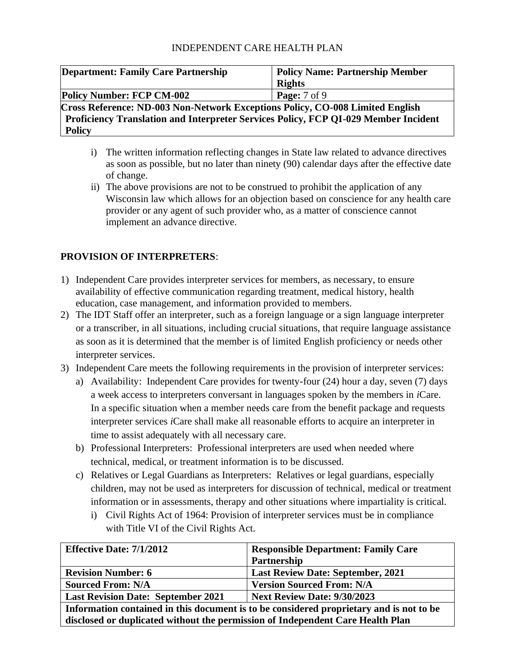| <b>Department: Family Care Partnership</b>                                          | <b>Policy Name: Partnership Member</b> |
|-------------------------------------------------------------------------------------|----------------------------------------|
|                                                                                     | <b>Rights</b>                          |
| <b>Policy Number: FCP CM-002</b>                                                    | <b>Page:</b> 7 of 9                    |
| Cross Reference: ND-003 Non-Network Exceptions Policy, CO-008 Limited English       |                                        |
| Proficiency Translation and Interpreter Services Policy, FCP QI-029 Member Incident |                                        |
| <b>Policy</b>                                                                       |                                        |

- i) The written information reflecting changes in State law related to advance directives as soon as possible, but no later than ninety (90) calendar days after the effective date of change.
- ii) The above provisions are not to be construed to prohibit the application of any Wisconsin law which allows for an objection based on conscience for any health care provider or any agent of such provider who, as a matter of conscience cannot implement an advance directive.

## **PROVISION OF INTERPRETERS**:

- 1) Independent Care provides interpreter services for members, as necessary, to ensure availability of effective communication regarding treatment, medical history, health education, case management, and information provided to members.
- 2) The IDT Staff offer an interpreter, such as a foreign language or a sign language interpreter or a transcriber, in all situations, including crucial situations, that require language assistance as soon as it is determined that the member is of limited English proficiency or needs other interpreter services.
- 3) Independent Care meets the following requirements in the provision of interpreter services:
	- a) Availability: Independent Care provides for twenty-four (24) hour a day, seven (7) days a week access to interpreters conversant in languages spoken by the members in *i*Care. In a specific situation when a member needs care from the benefit package and requests interpreter services *i*Care shall make all reasonable efforts to acquire an interpreter in time to assist adequately with all necessary care.
	- b) Professional Interpreters: Professional interpreters are used when needed where technical, medical, or treatment information is to be discussed.
	- c) Relatives or Legal Guardians as Interpreters: Relatives or legal guardians, especially children, may not be used as interpreters for discussion of technical, medical or treatment information or in assessments, therapy and other situations where impartiality is critical.
		- i) Civil Rights Act of 1964: Provision of interpreter services must be in compliance with Title VI of the Civil Rights Act.

| <b>Effective Date: 7/1/2012</b>                                                         | <b>Responsible Department: Family Care</b> |
|-----------------------------------------------------------------------------------------|--------------------------------------------|
|                                                                                         | Partnership                                |
| <b>Revision Number: 6</b>                                                               | <b>Last Review Date: September, 2021</b>   |
| <b>Sourced From: N/A</b>                                                                | <b>Version Sourced From: N/A</b>           |
| <b>Last Revision Date: September 2021</b>                                               | <b>Next Review Date: 9/30/2023</b>         |
| Information contained in this document is to be considered proprietary and is not to be |                                            |
| disclosed or duplicated without the permission of Independent Care Health Plan          |                                            |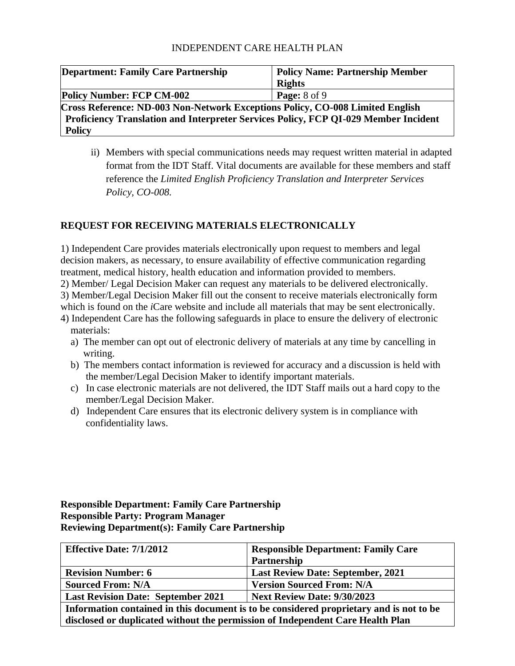| <b>Department: Family Care Partnership</b>                                           | <b>Policy Name: Partnership Member</b> |
|--------------------------------------------------------------------------------------|----------------------------------------|
|                                                                                      | <b>Rights</b>                          |
| <b>Policy Number: FCP CM-002</b>                                                     | <b>Page:</b> $8$ of $9$                |
| <b>Cross Reference: ND-003 Non-Network Exceptions Policy, CO-008 Limited English</b> |                                        |
| Proficiency Translation and Interpreter Services Policy, FCP QI-029 Member Incident  |                                        |
| <b>Policy</b>                                                                        |                                        |

ii) Members with special communications needs may request written material in adapted format from the IDT Staff. Vital documents are available for these members and staff reference the *Limited English Proficiency Translation and Interpreter Services Policy, CO-008.*

## **REQUEST FOR RECEIVING MATERIALS ELECTRONICALLY**

1) Independent Care provides materials electronically upon request to members and legal decision makers, as necessary, to ensure availability of effective communication regarding treatment, medical history, health education and information provided to members.

2) Member/ Legal Decision Maker can request any materials to be delivered electronically.

3) Member/Legal Decision Maker fill out the consent to receive materials electronically form

which is found on the *i*Care website and include all materials that may be sent electronically.

- 4) Independent Care has the following safeguards in place to ensure the delivery of electronic materials:
	- a) The member can opt out of electronic delivery of materials at any time by cancelling in writing.
	- b) The members contact information is reviewed for accuracy and a discussion is held with the member/Legal Decision Maker to identify important materials.
	- c) In case electronic materials are not delivered, the IDT Staff mails out a hard copy to the member/Legal Decision Maker.
	- d) Independent Care ensures that its electronic delivery system is in compliance with confidentiality laws.

### **Responsible Department: Family Care Partnership Responsible Party: Program Manager Reviewing Department(s): Family Care Partnership**

| <b>Effective Date: 7/1/2012</b>                                                         | <b>Responsible Department: Family Care</b> |
|-----------------------------------------------------------------------------------------|--------------------------------------------|
|                                                                                         | Partnership                                |
| <b>Revision Number: 6</b>                                                               | <b>Last Review Date: September, 2021</b>   |
| <b>Sourced From: N/A</b>                                                                | <b>Version Sourced From: N/A</b>           |
| <b>Last Revision Date: September 2021</b>                                               | <b>Next Review Date: 9/30/2023</b>         |
| Information contained in this document is to be considered proprietary and is not to be |                                            |
| disclosed or duplicated without the permission of Independent Care Health Plan          |                                            |